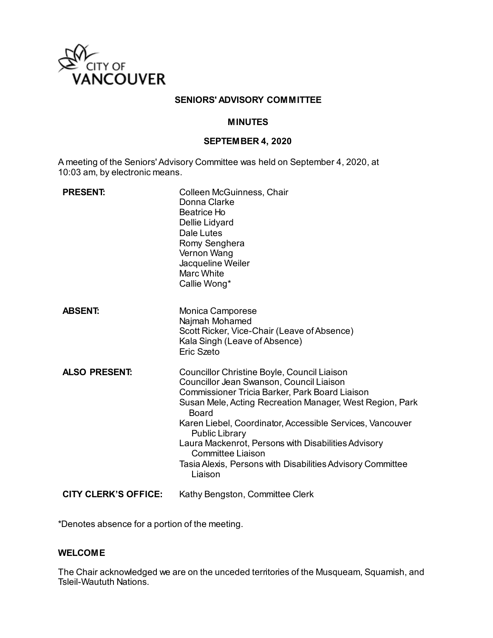

#### **SENIORS' ADVISORY COMMITTEE**

#### **MINUTES**

#### **SEPTEMBER 4, 2020**

A meeting of the Seniors' Advisory Committee was held on September 4, 2020, at 10:03 am, by electronic means.

| <b>PRESENT:</b>      | Colleen McGuinness, Chair<br>Donna Clarke<br><b>Beatrice Ho</b><br>Dellie Lidyard<br>Dale Lutes<br>Romy Senghera<br>Vernon Wang<br>Jacqueline Weiler<br><b>Marc White</b><br>Callie Wong*                                                                                                                                                                                                                                                                        |
|----------------------|------------------------------------------------------------------------------------------------------------------------------------------------------------------------------------------------------------------------------------------------------------------------------------------------------------------------------------------------------------------------------------------------------------------------------------------------------------------|
| <b>ABSENT:</b>       | Monica Camporese<br>Najmah Mohamed<br>Scott Ricker, Vice-Chair (Leave of Absence)<br>Kala Singh (Leave of Absence)<br>Eric Szeto                                                                                                                                                                                                                                                                                                                                 |
| <b>ALSO PRESENT:</b> | Councillor Christine Boyle, Council Liaison<br>Councillor Jean Swanson, Council Liaison<br>Commissioner Tricia Barker, Park Board Liaison<br>Susan Mele, Acting Recreation Manager, West Region, Park<br>Board<br>Karen Liebel, Coordinator, Accessible Services, Vancouver<br><b>Public Library</b><br>Laura Mackenrot, Persons with Disabilities Advisory<br><b>Committee Liaison</b><br>Tasia Alexis, Persons with Disabilities Advisory Committee<br>Liaison |
| CITY CLERK'S OFFICE: | Kathy Bengston, Committee Clerk                                                                                                                                                                                                                                                                                                                                                                                                                                  |

\*Denotes absence for a portion of the meeting.

#### **WELCOME**

The Chair acknowledged we are on the unceded territories of the Musqueam, Squamish, and Tsleil-Waututh Nations.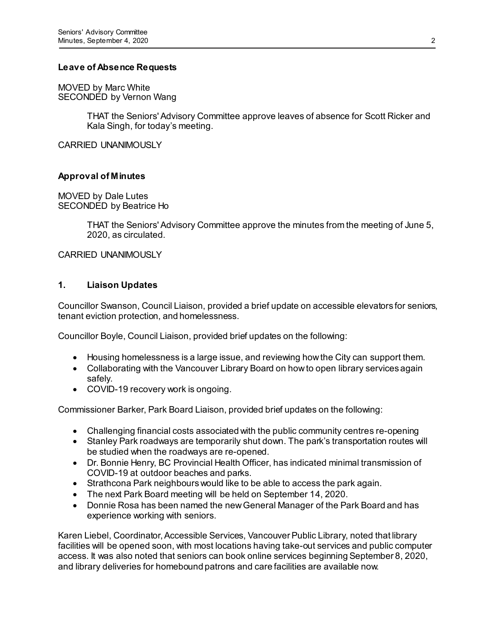#### **Leave of Absence Requests**

MOVED by Marc White SECONDED by Vernon Wang

> THAT the Seniors' Advisory Committee approve leaves of absence for Scott Ricker and Kala Singh, for today's meeting.

CARRIED UNANIMOUSLY

### **Approval of Minutes**

MOVED by Dale Lutes SECONDED by Beatrice Ho

> THAT the Seniors' Advisory Committee approve the minutes from the meeting of June 5, 2020, as circulated.

CARRIED UNANIMOUSLY

### **1. Liaison Updates**

Councillor Swanson, Council Liaison, provided a brief update on accessible elevators for seniors, tenant eviction protection, and homelessness.

Councillor Boyle, Council Liaison, provided brief updates on the following:

- Housing homelessness is a large issue, and reviewing how the City can support them.
- Collaborating with the Vancouver Library Board on how to open library services again safely.
- COVID-19 recovery work is ongoing.

Commissioner Barker, Park Board Liaison, provided brief updates on the following:

- Challenging financial costs associated with the public community centres re-opening
- Stanley Park roadways are temporarily shut down. The park's transportation routes will be studied when the roadways are re-opened.
- Dr. Bonnie Henry, BC Provincial Health Officer, has indicated minimal transmission of COVID-19 at outdoor beaches and parks.
- Strathcona Park neighbours would like to be able to access the park again.
- The next Park Board meeting will be held on September 14, 2020.
- Donnie Rosa has been named the new General Manager of the Park Board and has experience working with seniors.

Karen Liebel, Coordinator, Accessible Services, Vancouver Public Library, noted that library facilities will be opened soon, with most locations having take-out services and public computer access. It was also noted that seniors can book online services beginning September 8, 2020, and library deliveries for homebound patrons and care facilities are available now.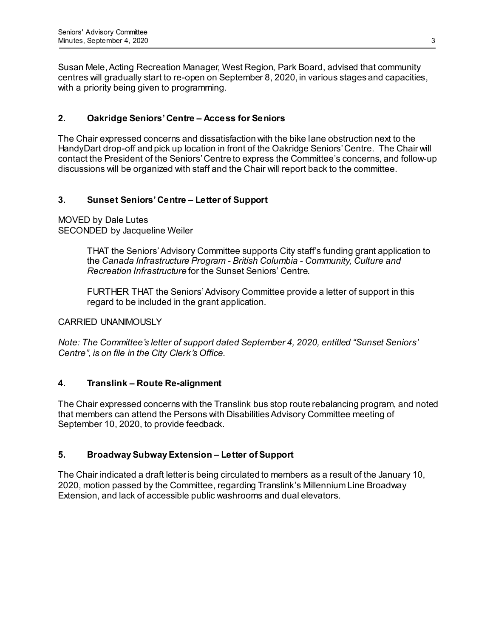Susan Mele, Acting Recreation Manager, West Region, Park Board, advised that community centres will gradually start to re-open on September 8, 2020, in various stages and capacities, with a priority being given to programming.

### **2. Oakridge Seniors' Centre – Access for Seniors**

The Chair expressed concerns and dissatisfaction with the bike lane obstruction next to the HandyDart drop-off and pick up location in front of the Oakridge Seniors' Centre. The Chair will contact the President of the Seniors' Centre to express the Committee's concerns, and follow-up discussions will be organized with staff and the Chair will report back to the committee.

### **3. Sunset Seniors' Centre – Letter of Support**

MOVED by Dale Lutes SECONDED by Jacqueline Weiler

> THAT the Seniors' Advisory Committee supports City staff's funding grant application to the *Canada Infrastructure Program - British Columbia - Community, Culture and Recreation Infrastructure* for the Sunset Seniors' Centre.

FURTHER THAT the Seniors' Advisory Committee provide a letter of support in this regard to be included in the grant application.

#### CARRIED UNANIMOUSLY

*Note: The Committee's letter of support dated September 4, 2020, entitled "Sunset Seniors' Centre", is on file in the City Clerk's Office.* 

### **4. Translink – Route Re-alignment**

The Chair expressed concerns with the Translink bus stop route rebalancing program, and noted that members can attend the Persons with Disabilities Advisory Committee meeting of September 10, 2020, to provide feedback.

### **5. Broadway Subway Extension – Letter of Support**

The Chair indicated a draft letter is being circulated to members as a result of the January 10, 2020, motion passed by the Committee, regarding Translink's Millennium Line Broadway Extension, and lack of accessible public washrooms and dual elevators.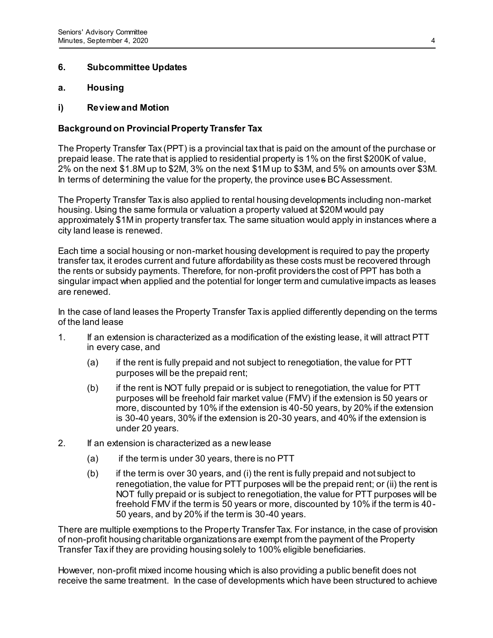### **6. Subcommittee Updates**

### **a. Housing**

### **i) Review and Motion**

### **Background on Provincial Property Transfer Tax**

The Property Transfer Tax (PPT) is a provincial tax that is paid on the amount of the purchase or prepaid lease. The rate that is applied to residential property is 1% on the first \$200K of value, 2% on the next \$1.8M up to \$2M, 3% on the next \$1M up to \$3M, and 5% on amounts over \$3M. In terms of determining the value for the property, the province uses BC Assessment.

The Property Transfer Tax is also applied to rental housing developments including non-market housing. Using the same formula or valuation a property valued at \$20M would pay approximately \$1M in property transfer tax. The same situation would apply in instances where a city land lease is renewed.

Each time a social housing or non-market housing development is required to pay the property transfer tax, it erodes current and future affordability as these costs must be recovered through the rents or subsidy payments. Therefore, for non-profit providers the cost of PPT has both a singular impact when applied and the potential for longer term and cumulative impacts as leases are renewed.

In the case of land leases the Property Transfer Tax is applied differently depending on the terms of the land lease

- 1. If an extension is characterized as a modification of the existing lease, it will attract PTT in every case, and
	- (a) if the rent is fully prepaid and not subject to renegotiation, the value for PTT purposes will be the prepaid rent;
	- (b) if the rent is NOT fully prepaid or is subject to renegotiation, the value for PTT purposes will be freehold fair market value (FMV) if the extension is 50 years or more, discounted by 10% if the extension is 40-50 years, by 20% if the extension is 30-40 years, 30% if the extension is 20-30 years, and 40% if the extension is under 20 years.
- 2. If an extension is characterized as a new lease
	- (a) if the term is under 30 years, there is no PTT
	- (b) if the term is over 30 years, and (i) the rent is fully prepaid and not subject to renegotiation, the value for PTT purposes will be the prepaid rent; or (ii) the rent is NOT fully prepaid or is subject to renegotiation, the value for PTT purposes will be freehold FMV if the term is 50 years or more, discounted by 10% if the term is 40- 50 years, and by 20% if the term is 30-40 years.

There are multiple exemptions to the Property Transfer Tax. For instance, in the case of provision of non-profit housing charitable organizations are exempt from the payment of the Property Transfer Tax if they are providing housing solely to 100% eligible beneficiaries.

However, non-profit mixed income housing which is also providing a public benefit does not receive the same treatment. In the case of developments which have been structured to achieve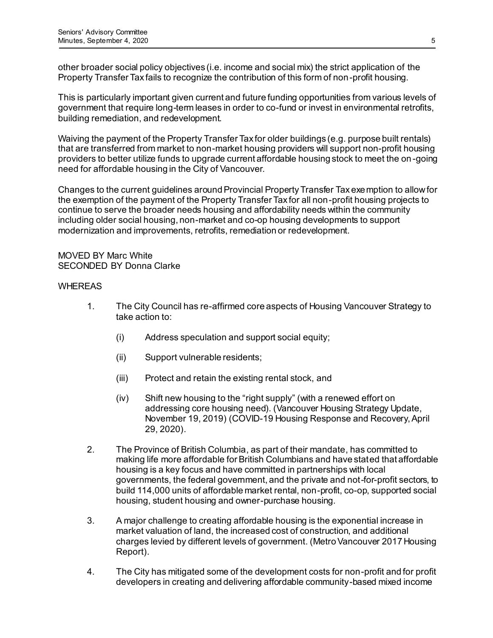other broader social policy objectives (i.e. income and social mix) the strict application of the Property Transfer Tax fails to recognize the contribution of this form of non-profit housing.

This is particularly important given current and future funding opportunities from various levels of government that require long-term leases in order to co-fund or invest in environmental retrofits, building remediation, and redevelopment.

Waiving the payment of the Property Transfer Tax for older buildings (e.g. purpose built rentals) that are transferred from market to non-market housing providers will support non-profit housing providers to better utilize funds to upgrade current affordable housing stock to meet the on -going need for affordable housing in the City of Vancouver.

Changes to the current guidelines around Provincial Property Transfer Tax exemption to allow for the exemption of the payment of the Property Transfer Tax for all non-profit housing projects to continue to serve the broader needs housing and affordability needs within the community including older social housing, non-market and co-op housing developments to support modernization and improvements, retrofits, remediation or redevelopment.

MOVED BY Marc White SECONDED BY Donna Clarke

#### **WHEREAS**

- 1. The City Council has re-affirmed core aspects of Housing Vancouver Strategy to take action to:
	- (i) Address speculation and support social equity;
	- (ii) Support vulnerable residents;
	- (iii) Protect and retain the existing rental stock, and
	- (iv) Shift new housing to the "right supply" (with a renewed effort on addressing core housing need). (Vancouver Housing Strategy Update, November 19, 2019) (COVID-19 Housing Response and Recovery, April 29, 2020).
- 2. The Province of British Columbia, as part of their mandate, has committed to making life more affordable for British Columbians and have stated that affordable housing is a key focus and have committed in partnerships with local governments, the federal government, and the private and not-for-profit sectors, to build 114,000 units of affordable market rental, non-profit, co-op, supported social housing, student housing and owner-purchase housing.
- 3. A major challenge to creating affordable housing is the exponential increase in market valuation of land, the increased cost of construction, and additional charges levied by different levels of government. (Metro Vancouver 2017 Housing Report).
- 4. The City has mitigated some of the development costs for non-profit and for profit developers in creating and delivering affordable community-based mixed income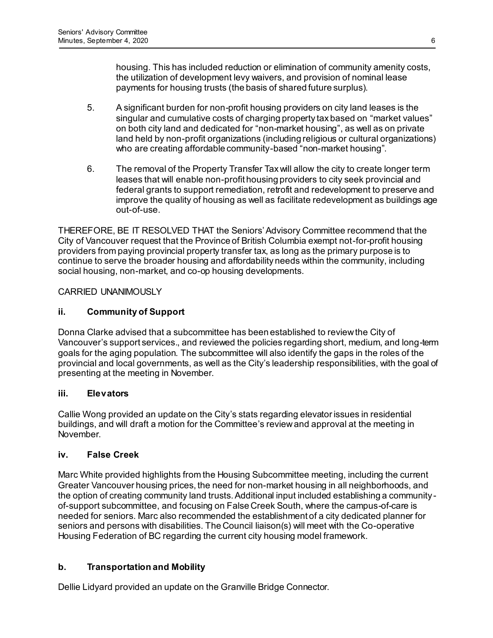housing. This has included reduction or elimination of community amenity costs, the utilization of development levy waivers, and provision of nominal lease payments for housing trusts (the basis of shared future surplus).

- 5. A significant burden for non-profit housing providers on city land leases is the singular and cumulative costs of charging property tax based on "market values" on both city land and dedicated for "non-market housing", as well as on private land held by non-profit organizations (including religious or cultural organizations) who are creating affordable community-based "non-market housing".
- 6. The removal of the Property Transfer Tax will allow the city to create longer term leases that will enable non-profit housing providers to city seek provincial and federal grants to support remediation, retrofit and redevelopment to preserve and improve the quality of housing as well as facilitate redevelopment as buildings age out-of-use.

THEREFORE, BE IT RESOLVED THAT the Seniors' Advisory Committee recommend that the City of Vancouver request that the Province of British Columbia exempt not-for-profit housing providers from paying provincial property transfer tax, as long as the primary purpose is to continue to serve the broader housing and affordability needs within the community, including social housing, non-market, and co-op housing developments.

### CARRIED UNANIMOUSLY

### **ii. Community of Support**

Donna Clarke advised that a subcommittee has been established to review the City of Vancouver's support services., and reviewed the policies regarding short, medium, and long-term goals for the aging population. The subcommittee will also identify the gaps in the roles of the provincial and local governments, as well as the City's leadership responsibilities, with the goal of presenting at the meeting in November.

### **iii. Elevators**

Callie Wong provided an update on the City's stats regarding elevator issues in residential buildings, and will draft a motion for the Committee's review and approval at the meeting in November.

### **iv. False Creek**

Marc White provided highlights from the Housing Subcommittee meeting, including the current Greater Vancouver housing prices, the need for non-market housing in all neighborhoods, and the option of creating community land trusts. Additional input included establishing a communityof-support subcommittee, and focusing on False Creek South, where the campus-of-care is needed for seniors. Marc also recommended the establishment of a city dedicated planner for seniors and persons with disabilities. The Council liaison(s) will meet with the Co-operative Housing Federation of BC regarding the current city housing model framework.

### **b. Transportation and Mobility**

Dellie Lidyard provided an update on the Granville Bridge Connector.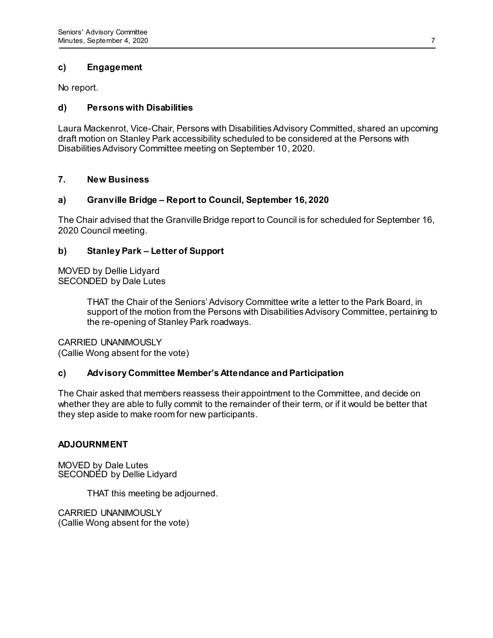### **c) Engagement**

No report.

### **d) Persons with Disabilities**

Laura Mackenrot, Vice-Chair, Persons with Disabilities Advisory Committed, shared an upcoming draft motion on Stanley Park accessibility scheduled to be considered at the Persons with Disabilities Advisory Committee meeting on September 10, 2020.

### **7. New Business**

### **a) Granville Bridge – Report to Council, September 16, 2020**

The Chair advised that the Granville Bridge report to Council is for scheduled for September 16, 2020 Council meeting.

### **b) Stanley Park – Letter of Support**

MOVED by Dellie Lidyard SECONDED by Dale Lutes

> THAT the Chair of the Seniors'Advisory Committee write a letter to the Park Board, in support of the motion from the Persons with Disabilities Advisory Committee, pertaining to the re-opening of Stanley Park roadways.

### CARRIED UNANIMOUSLY

(Callie Wong absent for the vote)

### **c) Advisory Committee Member's Attendance and Participation**

The Chair asked that members reassess their appointment to the Committee, and decide on whether they are able to fully commit to the remainder of their term, or if it would be better that they step aside to make room for new participants.

### **ADJOURNMENT**

MOVED by Dale Lutes SECONDED by Dellie Lidyard

THAT this meeting be adjourned.

CARRIED UNANIMOUSLY (Callie Wong absent for the vote)